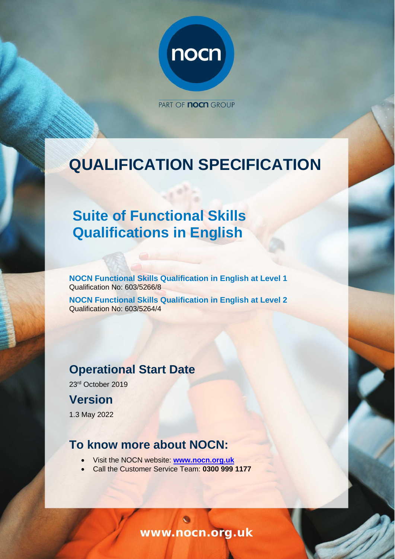

PART OF **NOCH** GROUP

# **QUALIFICATION SPECIFICATION**

# **Suite of Functional Skills Qualifications in English**

**NOCN Functional Skills Qualification in English at Level 1**  Qualification No: 603/5266/8

**NOCN Functional Skills Qualification in English at Level 2**  Qualification No: 603/5264/4

# **Operational Start Date**

23rd October 2019

# **Version**

1.3 May 2022

# **To know more about NOCN:**

- Visit the NOCN website: **[www.nocn.org.uk](http://www.nocn.org.uk/)**
- Call the Customer Service Team: **0300 999 1177**

www.nocn.org.uk

4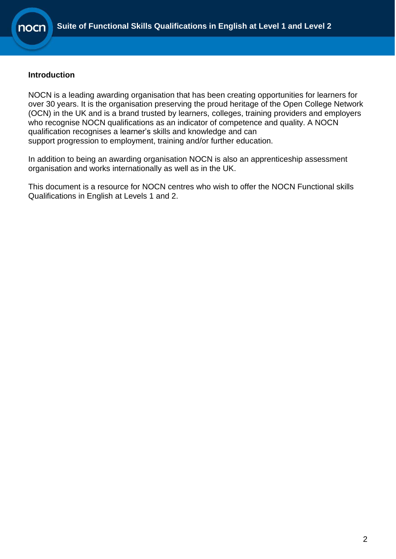

#### **Introduction**

NOCN is a leading awarding organisation that has been creating opportunities for learners for over 30 years. It is the organisation preserving the proud heritage of the Open College Network (OCN) in the UK and is a brand trusted by learners, colleges, training providers and employers who recognise NOCN qualifications as an indicator of competence and quality. A NOCN qualification recognises a learner's skills and knowledge and can support progression to employment, training and/or further education.

In addition to being an awarding organisation NOCN is also an apprenticeship assessment organisation and works internationally as well as in the UK.

This document is a resource for NOCN centres who wish to offer the NOCN Functional skills Qualifications in English at Levels 1 and 2.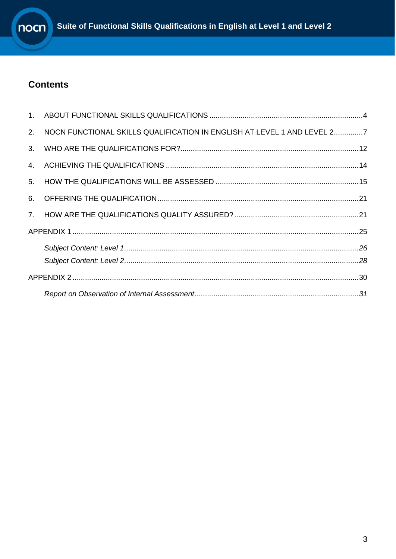

# **Contents**

| 2. | NOCN FUNCTIONAL SKILLS QUALIFICATION IN ENGLISH AT LEVEL 1 AND LEVEL 27 |  |
|----|-------------------------------------------------------------------------|--|
|    |                                                                         |  |
|    |                                                                         |  |
| 5. |                                                                         |  |
|    |                                                                         |  |
|    |                                                                         |  |
|    |                                                                         |  |
|    |                                                                         |  |
|    |                                                                         |  |
|    |                                                                         |  |
|    |                                                                         |  |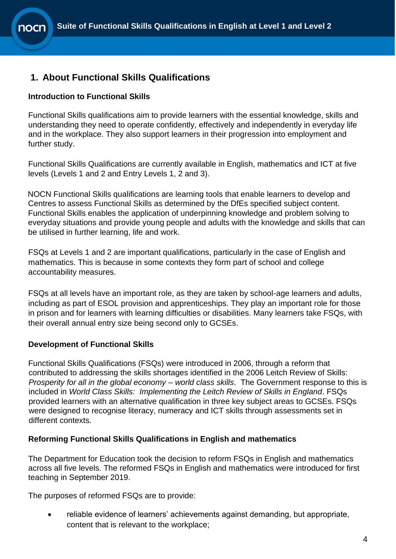### <span id="page-3-0"></span>**1. About Functional Skills Qualifications**

### **Introduction to Functional Skills**

Functional Skills qualifications aim to provide learners with the essential knowledge, skills and understanding they need to operate confidently, effectively and independently in everyday life and in the workplace. They also support learners in their progression into employment and further study.

Functional Skills Qualifications are currently available in English, mathematics and ICT at five levels (Levels 1 and 2 and Entry Levels 1, 2 and 3).

NOCN Functional Skills qualifications are learning tools that enable learners to develop and Centres to assess Functional Skills as determined by the DfEs specified subject content. Functional Skills enables the application of underpinning knowledge and problem solving to everyday situations and provide young people and adults with the knowledge and skills that can be utilised in further learning, life and work.

FSQs at Levels 1 and 2 are important qualifications, particularly in the case of English and mathematics. This is because in some contexts they form part of school and college accountability measures.

FSQs at all levels have an important role, as they are taken by school-age learners and adults, including as part of ESOL provision and apprenticeships. They play an important role for those in prison and for learners with learning difficulties or disabilities. Many learners take FSQs, with their overall annual entry size being second only to GCSEs.

### **Development of Functional Skills**

Functional Skills Qualifications (FSQs) were introduced in 2006, through a reform that contributed to addressing the skills shortages identified in the 2006 Leitch Review of Skills: *Prosperity for all in the global economy – world class skills*. The Government response to this is included in *World Class Skills: Implementing the Leitch Review of Skills in England*. FSQs provided learners with an alternative qualification in three key subject areas to GCSEs. FSQs were designed to recognise literacy, numeracy and ICT skills through assessments set in different contexts.

### **Reforming Functional Skills Qualifications in English and mathematics**

The Department for Education took the decision to reform FSQs in English and mathematics across all five levels. The reformed FSQs in English and mathematics were introduced for first teaching in September 2019.

The purposes of reformed FSQs are to provide:

• reliable evidence of learners' achievements against demanding, but appropriate, content that is relevant to the workplace;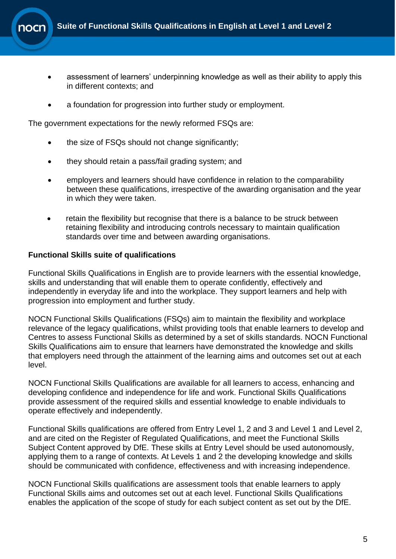- assessment of learners' underpinning knowledge as well as their ability to apply this in different contexts; and
- a foundation for progression into further study or employment.

The government expectations for the newly reformed FSQs are:

- the size of FSQs should not change significantly;
- they should retain a pass/fail grading system; and
- employers and learners should have confidence in relation to the comparability between these qualifications, irrespective of the awarding organisation and the year in which they were taken.
- retain the flexibility but recognise that there is a balance to be struck between retaining flexibility and introducing controls necessary to maintain qualification standards over time and between awarding organisations.

#### **Functional Skills suite of qualifications**

Functional Skills Qualifications in English are to provide learners with the essential knowledge, skills and understanding that will enable them to operate confidently, effectively and independently in everyday life and into the workplace. They support learners and help with progression into employment and further study.

NOCN Functional Skills Qualifications (FSQs) aim to maintain the flexibility and workplace relevance of the legacy qualifications, whilst providing tools that enable learners to develop and Centres to assess Functional Skills as determined by a set of skills standards. NOCN Functional Skills Qualifications aim to ensure that learners have demonstrated the knowledge and skills that employers need through the attainment of the learning aims and outcomes set out at each level.

NOCN Functional Skills Qualifications are available for all learners to access, enhancing and developing confidence and independence for life and work. Functional Skills Qualifications provide assessment of the required skills and essential knowledge to enable individuals to operate effectively and independently.

Functional Skills qualifications are offered from Entry Level 1, 2 and 3 and Level 1 and Level 2, and are cited on the Register of Regulated Qualifications, and meet the Functional Skills Subject Content approved by DfE. These skills at Entry Level should be used autonomously, applying them to a range of contexts. At Levels 1 and 2 the developing knowledge and skills should be communicated with confidence, effectiveness and with increasing independence.

NOCN Functional Skills qualifications are assessment tools that enable learners to apply Functional Skills aims and outcomes set out at each level. Functional Skills Qualifications enables the application of the scope of study for each subject content as set out by the DfE.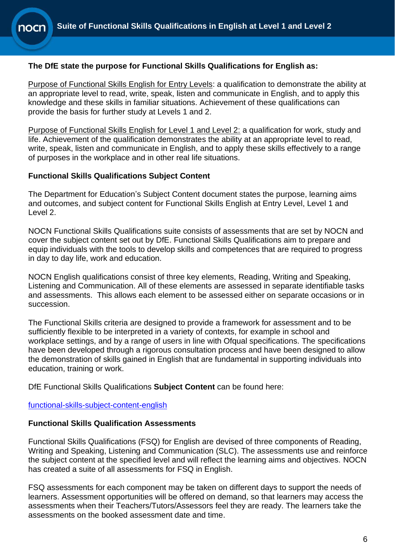### **The DfE state the purpose for Functional Skills Qualifications for English as:**

Purpose of Functional Skills English for Entry Levels: a qualification to demonstrate the ability at an appropriate level to read, write, speak, listen and communicate in English, and to apply this knowledge and these skills in familiar situations. Achievement of these qualifications can provide the basis for further study at Levels 1 and 2.

Purpose of Functional Skills English for Level 1 and Level 2: a qualification for work, study and life. Achievement of the qualification demonstrates the ability at an appropriate level to read, write, speak, listen and communicate in English, and to apply these skills effectively to a range of purposes in the workplace and in other real life situations.

#### **Functional Skills Qualifications Subject Content**

The Department for Education's Subject Content document states the purpose, learning aims and outcomes, and subject content for Functional Skills English at Entry Level, Level 1 and Level 2.

NOCN Functional Skills Qualifications suite consists of assessments that are set by NOCN and cover the subject content set out by DfE. Functional Skills Qualifications aim to prepare and equip individuals with the tools to develop skills and competences that are required to progress in day to day life, work and education.

NOCN English qualifications consist of three key elements, Reading, Writing and Speaking, Listening and Communication. All of these elements are assessed in separate identifiable tasks and assessments. This allows each element to be assessed either on separate occasions or in succession.

The Functional Skills criteria are designed to provide a framework for assessment and to be sufficiently flexible to be interpreted in a variety of contexts, for example in school and workplace settings, and by a range of users in line with Ofqual specifications. The specifications have been developed through a rigorous consultation process and have been designed to allow the demonstration of skills gained in English that are fundamental in supporting individuals into education, training or work.

DfE Functional Skills Qualifications **Subject Content** can be found here:

[functional-skills-subject-content-english](https://www.gov.uk/government/publications/functional-skills-subject-content-english)

#### **Functional Skills Qualification Assessments**

Functional Skills Qualifications (FSQ) for English are devised of three components of Reading, Writing and Speaking, Listening and Communication (SLC). The assessments use and reinforce the subject content at the specified level and will reflect the learning aims and objectives. NOCN has created a suite of all assessments for FSQ in English.

FSQ assessments for each component may be taken on different days to support the needs of learners. Assessment opportunities will be offered on demand, so that learners may access the assessments when their Teachers/Tutors/Assessors feel they are ready. The learners take the assessments on the booked assessment date and time.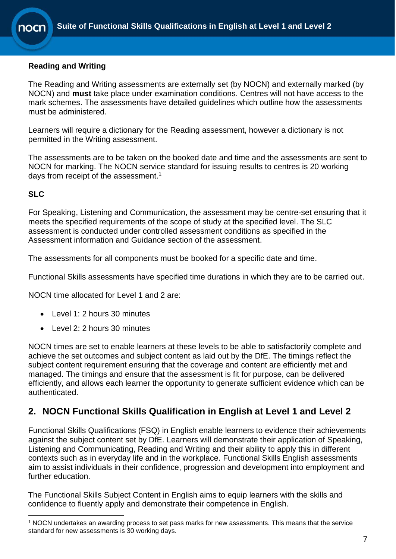### **Reading and Writing**

The Reading and Writing assessments are externally set (by NOCN) and externally marked (by NOCN) and **must** take place under examination conditions. Centres will not have access to the mark schemes. The assessments have detailed guidelines which outline how the assessments must be administered.

Learners will require a dictionary for the Reading assessment, however a dictionary is not permitted in the Writing assessment.

The assessments are to be taken on the booked date and time and the assessments are sent to NOCN for marking. The NOCN service standard for issuing results to centres is 20 working days from receipt of the assessment.<sup>1</sup>

### **SLC**

For Speaking, Listening and Communication, the assessment may be centre-set ensuring that it meets the specified requirements of the scope of study at the specified level. The SLC assessment is conducted under controlled assessment conditions as specified in the Assessment information and Guidance section of the assessment.

The assessments for all components must be booked for a specific date and time.

Functional Skills assessments have specified time durations in which they are to be carried out.

NOCN time allocated for Level 1 and 2 are:

- Level 1: 2 hours 30 minutes
- Level 2: 2 hours 30 minutes

NOCN times are set to enable learners at these levels to be able to satisfactorily complete and achieve the set outcomes and subject content as laid out by the DfE. The timings reflect the subject content requirement ensuring that the coverage and content are efficiently met and managed. The timings and ensure that the assessment is fit for purpose, can be delivered efficiently, and allows each learner the opportunity to generate sufficient evidence which can be authenticated.

### <span id="page-6-0"></span>**2. NOCN Functional Skills Qualification in English at Level 1 and Level 2**

Functional Skills Qualifications (FSQ) in English enable learners to evidence their achievements against the subject content set by DfE. Learners will demonstrate their application of Speaking, Listening and Communicating, Reading and Writing and their ability to apply this in different contexts such as in everyday life and in the workplace. Functional Skills English assessments aim to assist individuals in their confidence, progression and development into employment and further education.

The Functional Skills Subject Content in English aims to equip learners with the skills and confidence to fluently apply and demonstrate their competence in English.

<sup>1</sup> NOCN undertakes an awarding process to set pass marks for new assessments. This means that the service standard for new assessments is 30 working days.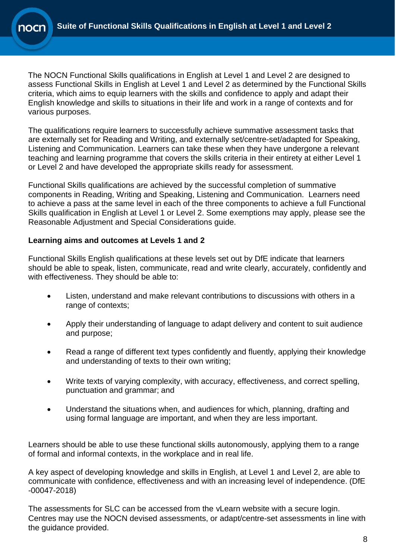

The NOCN Functional Skills qualifications in English at Level 1 and Level 2 are designed to assess Functional Skills in English at Level 1 and Level 2 as determined by the Functional Skills criteria, which aims to equip learners with the skills and confidence to apply and adapt their English knowledge and skills to situations in their life and work in a range of contexts and for various purposes.

The qualifications require learners to successfully achieve summative assessment tasks that are externally set for Reading and Writing, and externally set/centre-set/adapted for Speaking, Listening and Communication. Learners can take these when they have undergone a relevant teaching and learning programme that covers the skills criteria in their entirety at either Level 1 or Level 2 and have developed the appropriate skills ready for assessment.

Functional Skills qualifications are achieved by the successful completion of summative components in Reading, Writing and Speaking, Listening and Communication. Learners need to achieve a pass at the same level in each of the three components to achieve a full Functional Skills qualification in English at Level 1 or Level 2. Some exemptions may apply, please see the Reasonable Adjustment and Special Considerations guide.

### **Learning aims and outcomes at Levels 1 and 2**

Functional Skills English qualifications at these levels set out by DfE indicate that learners should be able to speak, listen, communicate, read and write clearly, accurately, confidently and with effectiveness. They should be able to:

- Listen, understand and make relevant contributions to discussions with others in a range of contexts;
- Apply their understanding of language to adapt delivery and content to suit audience and purpose;
- Read a range of different text types confidently and fluently, applying their knowledge and understanding of texts to their own writing;
- Write texts of varying complexity, with accuracy, effectiveness, and correct spelling, punctuation and grammar; and
- Understand the situations when, and audiences for which, planning, drafting and using formal language are important, and when they are less important.

Learners should be able to use these functional skills autonomously, applying them to a range of formal and informal contexts, in the workplace and in real life.

A key aspect of developing knowledge and skills in English, at Level 1 and Level 2, are able to communicate with confidence, effectiveness and with an increasing level of independence. (DfE -00047-2018)

The assessments for SLC can be accessed from the vLearn website with a secure login. Centres may use the NOCN devised assessments, or adapt/centre-set assessments in line with the guidance provided.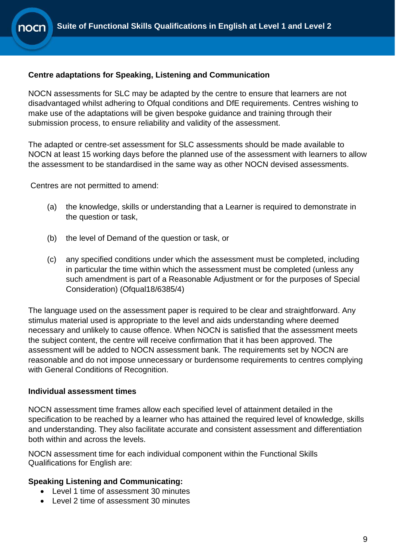### **Centre adaptations for Speaking, Listening and Communication**

NOCN assessments for SLC may be adapted by the centre to ensure that learners are not disadvantaged whilst adhering to Ofqual conditions and DfE requirements. Centres wishing to make use of the adaptations will be given bespoke guidance and training through their submission process, to ensure reliability and validity of the assessment.

The adapted or centre-set assessment for SLC assessments should be made available to NOCN at least 15 working days before the planned use of the assessment with learners to allow the assessment to be standardised in the same way as other NOCN devised assessments.

Centres are not permitted to amend:

- (a) the knowledge, skills or understanding that a Learner is required to demonstrate in the question or task,
- (b) the level of Demand of the question or task, or
- (c) any specified conditions under which the assessment must be completed, including in particular the time within which the assessment must be completed (unless any such amendment is part of a Reasonable Adjustment or for the purposes of Special Consideration) (Ofqual18/6385/4)

The language used on the assessment paper is required to be clear and straightforward. Any stimulus material used is appropriate to the level and aids understanding where deemed necessary and unlikely to cause offence. When NOCN is satisfied that the assessment meets the subject content, the centre will receive confirmation that it has been approved. The assessment will be added to NOCN assessment bank. The requirements set by NOCN are reasonable and do not impose unnecessary or burdensome requirements to centres complying with General Conditions of Recognition.

#### **Individual assessment times**

NOCN assessment time frames allow each specified level of attainment detailed in the specification to be reached by a learner who has attained the required level of knowledge, skills and understanding. They also facilitate accurate and consistent assessment and differentiation both within and across the levels.

NOCN assessment time for each individual component within the Functional Skills Qualifications for English are:

#### **Speaking Listening and Communicating:**

- Level 1 time of assessment 30 minutes
- Level 2 time of assessment 30 minutes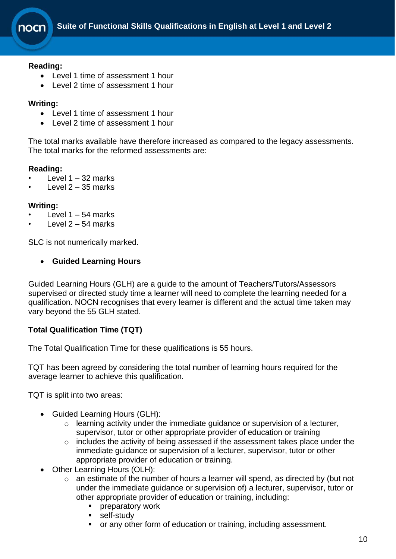#### **Reading:**

- Level 1 time of assessment 1 hour
- Level 2 time of assessment 1 hour

#### **Writing:**

- Level 1 time of assessment 1 hour
- Level 2 time of assessment 1 hour

The total marks available have therefore increased as compared to the legacy assessments. The total marks for the reformed assessments are:

#### **Reading:**

- Level  $1 32$  marks
- Level  $2 35$  marks

#### **Writing:**

- Level  $1 54$  marks
- $leve12 54$  marks

SLC is not numerically marked.

#### • **Guided Learning Hours**

Guided Learning Hours (GLH) are a guide to the amount of Teachers/Tutors/Assessors supervised or directed study time a learner will need to complete the learning needed for a qualification. NOCN recognises that every learner is different and the actual time taken may vary beyond the 55 GLH stated.

#### **Total Qualification Time (TQT)**

The Total Qualification Time for these qualifications is 55 hours.

TQT has been agreed by considering the total number of learning hours required for the average learner to achieve this qualification.

TQT is split into two areas:

- Guided Learning Hours (GLH):
	- o learning activity under the immediate guidance or supervision of a lecturer, supervisor, tutor or other appropriate provider of education or training
	- o includes the activity of being assessed if the assessment takes place under the immediate guidance or supervision of a lecturer, supervisor, tutor or other appropriate provider of education or training.
- Other Learning Hours (OLH):
	- o an estimate of the number of hours a learner will spend, as directed by (but not under the immediate guidance or supervision of) a lecturer, supervisor, tutor or other appropriate provider of education or training, including:
		- **•** preparatory work
		- self-study
		- or any other form of education or training, including assessment.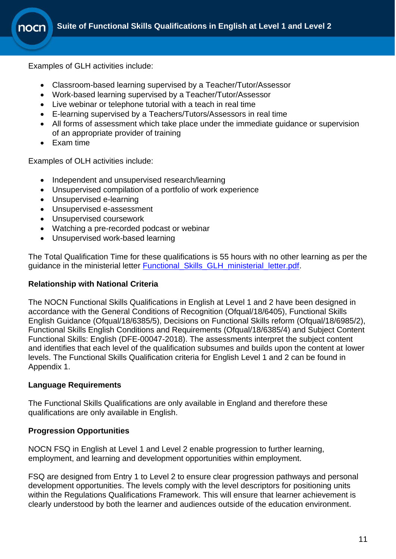Examples of GLH activities include:

- Classroom-based learning supervised by a Teacher/Tutor/Assessor
- Work-based learning supervised by a Teacher/Tutor/Assessor
- Live webinar or telephone tutorial with a teach in real time
- E-learning supervised by a Teachers/Tutors/Assessors in real time
- All forms of assessment which take place under the immediate guidance or supervision of an appropriate provider of training
- Exam time

Examples of OLH activities include:

- Independent and unsupervised research/learning
- Unsupervised compilation of a portfolio of work experience
- Unsupervised e-learning
- Unsupervised e-assessment
- Unsupervised coursework
- Watching a pre-recorded podcast or webinar
- Unsupervised work-based learning

The Total Qualification Time for these qualifications is 55 hours with no other learning as per the quidance in the ministerial letter Functional Skills GLH ministerial letter.pdf.

#### **Relationship with National Criteria**

The NOCN Functional Skills Qualifications in English at Level 1 and 2 have been designed in accordance with the General Conditions of Recognition (Ofqual/18/6405), Functional Skills English Guidance (Ofqual/18/6385/5), Decisions on Functional Skills reform (Ofqual/18/6985/2), Functional Skills English Conditions and Requirements (Ofqual/18/6385/4) and Subject Content Functional Skills: English (DFE-00047-2018). The assessments interpret the subject content and identifies that each level of the qualification subsumes and builds upon the content at lower levels. The Functional Skills Qualification criteria for English Level 1 and 2 can be found in Appendix 1.

#### **Language Requirements**

The Functional Skills Qualifications are only available in England and therefore these qualifications are only available in English.

#### **Progression Opportunities**

NOCN FSQ in English at Level 1 and Level 2 enable progression to further learning, employment, and learning and development opportunities within employment.

FSQ are designed from Entry 1 to Level 2 to ensure clear progression pathways and personal development opportunities. The levels comply with the level descriptors for positioning units within the Regulations Qualifications Framework. This will ensure that learner achievement is clearly understood by both the learner and audiences outside of the education environment.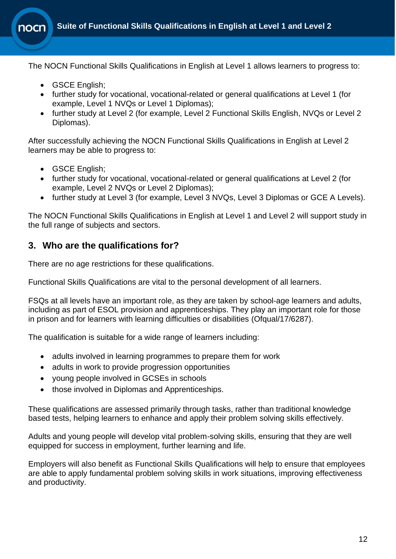The NOCN Functional Skills Qualifications in English at Level 1 allows learners to progress to:

- GSCE English;
- further study for vocational, vocational-related or general qualifications at Level 1 (for example, Level 1 NVQs or Level 1 Diplomas);
- further study at Level 2 (for example, Level 2 Functional Skills English, NVQs or Level 2 Diplomas).

After successfully achieving the NOCN Functional Skills Qualifications in English at Level 2 learners may be able to progress to:

- GSCE English;
- further study for vocational, vocational-related or general qualifications at Level 2 (for example, Level 2 NVQs or Level 2 Diplomas);
- further study at Level 3 (for example, Level 3 NVQs, Level 3 Diplomas or GCE A Levels).

The NOCN Functional Skills Qualifications in English at Level 1 and Level 2 will support study in the full range of subjects and sectors.

### <span id="page-11-0"></span>**3. Who are the qualifications for?**

There are no age restrictions for these qualifications.

Functional Skills Qualifications are vital to the personal development of all learners.

FSQs at all levels have an important role, as they are taken by school-age learners and adults, including as part of ESOL provision and apprenticeships. They play an important role for those in prison and for learners with learning difficulties or disabilities (Ofqual/17/6287).

The qualification is suitable for a wide range of learners including:

- adults involved in learning programmes to prepare them for work
- adults in work to provide progression opportunities
- young people involved in GCSEs in schools
- those involved in Diplomas and Apprenticeships.

These qualifications are assessed primarily through tasks, rather than traditional knowledge based tests, helping learners to enhance and apply their problem solving skills effectively.

Adults and young people will develop vital problem-solving skills, ensuring that they are well equipped for success in employment, further learning and life.

Employers will also benefit as Functional Skills Qualifications will help to ensure that employees are able to apply fundamental problem solving skills in work situations, improving effectiveness and productivity.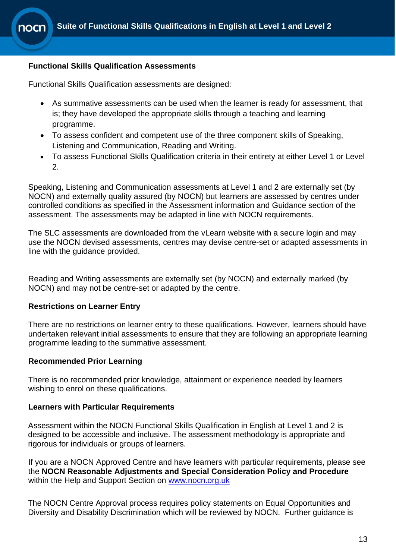#### **Functional Skills Qualification Assessments**

Functional Skills Qualification assessments are designed:

- As summative assessments can be used when the learner is ready for assessment, that is; they have developed the appropriate skills through a teaching and learning programme.
- To assess confident and competent use of the three component skills of Speaking, Listening and Communication, Reading and Writing.
- To assess Functional Skills Qualification criteria in their entirety at either Level 1 or Level 2.

Speaking, Listening and Communication assessments at Level 1 and 2 are externally set (by NOCN) and externally quality assured (by NOCN) but learners are assessed by centres under controlled conditions as specified in the Assessment information and Guidance section of the assessment. The assessments may be adapted in line with NOCN requirements.

The SLC assessments are downloaded from the vLearn website with a secure login and may use the NOCN devised assessments, centres may devise centre-set or adapted assessments in line with the guidance provided.

Reading and Writing assessments are externally set (by NOCN) and externally marked (by NOCN) and may not be centre-set or adapted by the centre.

#### **Restrictions on Learner Entry**

There are no restrictions on learner entry to these qualifications. However, learners should have undertaken relevant initial assessments to ensure that they are following an appropriate learning programme leading to the summative assessment.

#### **Recommended Prior Learning**

There is no recommended prior knowledge, attainment or experience needed by learners wishing to enrol on these qualifications.

#### **Learners with Particular Requirements**

Assessment within the NOCN Functional Skills Qualification in English at Level 1 and 2 is designed to be accessible and inclusive. The assessment methodology is appropriate and rigorous for individuals or groups of learners.

If you are a NOCN Approved Centre and have learners with particular requirements, please see the **NOCN Reasonable Adjustments and Special Consideration Policy and Procedure** within the Help and Support Section on [www.nocn.org.uk](http://www.nocn.org.uk/)

The NOCN Centre Approval process requires policy statements on Equal Opportunities and Diversity and Disability Discrimination which will be reviewed by NOCN. Further guidance is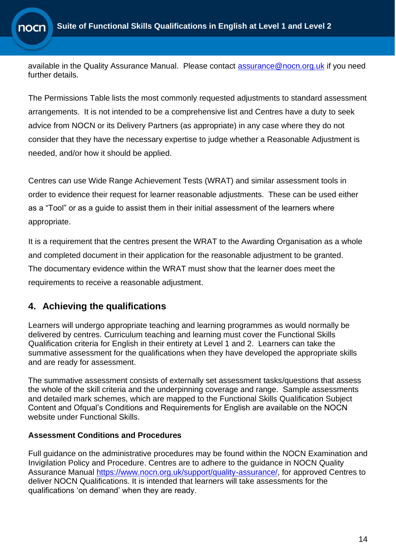available in the Quality Assurance Manual. Please contact [assurance@nocn.org.uk](mailto:assurance@nocn.org.uk) if you need further details.

The Permissions Table lists the most commonly requested adjustments to standard assessment arrangements. It is not intended to be a comprehensive list and Centres have a duty to seek advice from NOCN or its Delivery Partners (as appropriate) in any case where they do not consider that they have the necessary expertise to judge whether a Reasonable Adjustment is needed, and/or how it should be applied.

Centres can use Wide Range Achievement Tests (WRAT) and similar assessment tools in order to evidence their request for learner reasonable adjustments. These can be used either as a "Tool" or as a guide to assist them in their initial assessment of the learners where appropriate.

It is a requirement that the centres present the WRAT to the Awarding Organisation as a whole and completed document in their application for the reasonable adjustment to be granted. The documentary evidence within the WRAT must show that the learner does meet the requirements to receive a reasonable adjustment.

### <span id="page-13-0"></span>**4. Achieving the qualifications**

Learners will undergo appropriate teaching and learning programmes as would normally be delivered by centres. Curriculum teaching and learning must cover the Functional Skills Qualification criteria for English in their entirety at Level 1 and 2. Learners can take the summative assessment for the qualifications when they have developed the appropriate skills and are ready for assessment.

The summative assessment consists of externally set assessment tasks/questions that assess the whole of the skill criteria and the underpinning coverage and range. Sample assessments and detailed mark schemes, which are mapped to the Functional Skills Qualification Subject Content and Ofqual's Conditions and Requirements for English are available on the NOCN website under Functional Skills.

### **Assessment Conditions and Procedures**

Full guidance on the administrative procedures may be found within the NOCN Examination and Invigilation Policy and Procedure. Centres are to adhere to the guidance in NOCN Quality Assurance Manual [https://www.nocn.org.uk/support/quality-assurance/,](https://www.nocn.org.uk/support/quality-assurance/) for approved Centres to deliver NOCN Qualifications. It is intended that learners will take assessments for the qualifications 'on demand' when they are ready.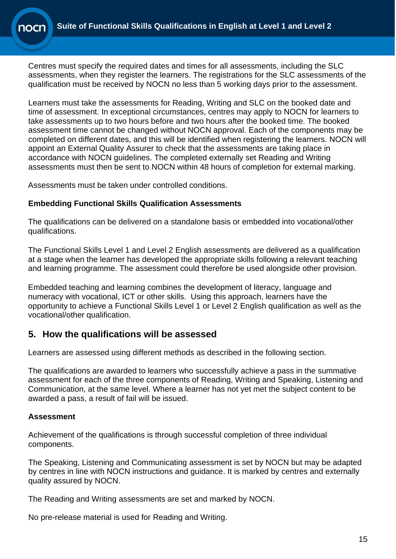Centres must specify the required dates and times for all assessments, including the SLC assessments, when they register the learners. The registrations for the SLC assessments of the qualification must be received by NOCN no less than 5 working days prior to the assessment.

Learners must take the assessments for Reading, Writing and SLC on the booked date and time of assessment. In exceptional circumstances, centres may apply to NOCN for learners to take assessments up to two hours before and two hours after the booked time. The booked assessment time cannot be changed without NOCN approval. Each of the components may be completed on different dates, and this will be identified when registering the learners. NOCN will appoint an External Quality Assurer to check that the assessments are taking place in accordance with NOCN guidelines. The completed externally set Reading and Writing assessments must then be sent to NOCN within 48 hours of completion for external marking.

Assessments must be taken under controlled conditions.

### **Embedding Functional Skills Qualification Assessments**

The qualifications can be delivered on a standalone basis or embedded into vocational/other qualifications.

The Functional Skills Level 1 and Level 2 English assessments are delivered as a qualification at a stage when the learner has developed the appropriate skills following a relevant teaching and learning programme. The assessment could therefore be used alongside other provision.

Embedded teaching and learning combines the development of literacy, language and numeracy with vocational, ICT or other skills. Using this approach, learners have the opportunity to achieve a Functional Skills Level 1 or Level 2 English qualification as well as the vocational/other qualification.

### <span id="page-14-0"></span>**5. How the qualifications will be assessed**

Learners are assessed using different methods as described in the following section.

The qualifications are awarded to learners who successfully achieve a pass in the summative assessment for each of the three components of Reading, Writing and Speaking, Listening and Communication, at the same level. Where a learner has not yet met the subject content to be awarded a pass, a result of fail will be issued.

### **Assessment**

Achievement of the qualifications is through successful completion of three individual components.

The Speaking, Listening and Communicating assessment is set by NOCN but may be adapted by centres in line with NOCN instructions and guidance. It is marked by centres and externally quality assured by NOCN.

The Reading and Writing assessments are set and marked by NOCN.

No pre-release material is used for Reading and Writing.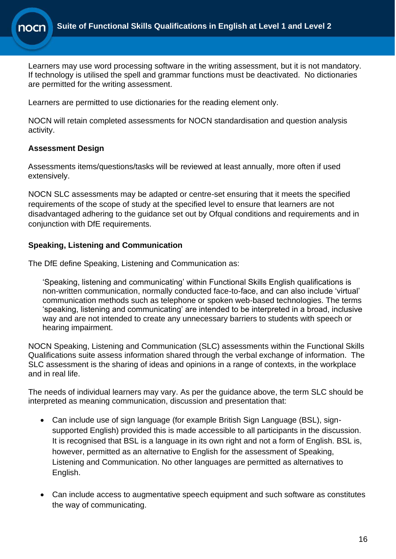

Learners may use word processing software in the writing assessment, but it is not mandatory. If technology is utilised the spell and grammar functions must be deactivated. No dictionaries are permitted for the writing assessment.

Learners are permitted to use dictionaries for the reading element only.

NOCN will retain completed assessments for NOCN standardisation and question analysis activity.

### **Assessment Design**

Assessments items/questions/tasks will be reviewed at least annually, more often if used extensively.

NOCN SLC assessments may be adapted or centre-set ensuring that it meets the specified requirements of the scope of study at the specified level to ensure that learners are not disadvantaged adhering to the guidance set out by Ofqual conditions and requirements and in conjunction with DfE requirements.

### **Speaking, Listening and Communication**

The DfE define Speaking, Listening and Communication as:

'Speaking, listening and communicating' within Functional Skills English qualifications is non-written communication, normally conducted face-to-face, and can also include 'virtual' communication methods such as telephone or spoken web-based technologies. The terms 'speaking, listening and communicating' are intended to be interpreted in a broad, inclusive way and are not intended to create any unnecessary barriers to students with speech or hearing impairment.

NOCN Speaking, Listening and Communication (SLC) assessments within the Functional Skills Qualifications suite assess information shared through the verbal exchange of information. The SLC assessment is the sharing of ideas and opinions in a range of contexts, in the workplace and in real life.

The needs of individual learners may vary. As per the guidance above, the term SLC should be interpreted as meaning communication, discussion and presentation that:

- Can include use of sign language (for example British Sign Language (BSL), signsupported English) provided this is made accessible to all participants in the discussion. It is recognised that BSL is a language in its own right and not a form of English. BSL is, however, permitted as an alternative to English for the assessment of Speaking, Listening and Communication. No other languages are permitted as alternatives to English.
- Can include access to augmentative speech equipment and such software as constitutes the way of communicating.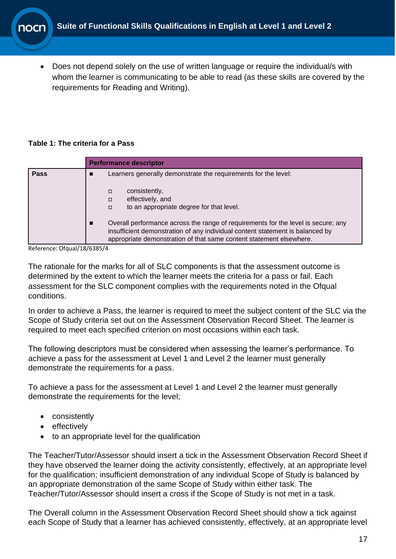• Does not depend solely on the use of written language or require the individual/s with whom the learner is communicating to be able to read (as these skills are covered by the requirements for Reading and Writing).

#### **Table 1: The criteria for a Pass**

|             | <b>Performance descriptor</b>                                                                                                                                                                                                                                 |  |  |  |  |  |
|-------------|---------------------------------------------------------------------------------------------------------------------------------------------------------------------------------------------------------------------------------------------------------------|--|--|--|--|--|
| <b>Pass</b> | Learners generally demonstrate the requirements for the level:<br>consistently,<br>$\Box$<br>effectively, and<br>□<br>to an appropriate degree for that level.<br>$\Box$<br>Overall performance across the range of requirements for the level is secure; any |  |  |  |  |  |
|             | insufficient demonstration of any individual content statement is balanced by<br>appropriate demonstration of that same content statement elsewhere.                                                                                                          |  |  |  |  |  |

Reference: Ofqual/18/6385/4

The rationale for the marks for all of SLC components is that the assessment outcome is determined by the extent to which the learner meets the criteria for a pass or fail. Each assessment for the SLC component complies with the requirements noted in the Ofqual conditions.

In order to achieve a Pass, the learner is required to meet the subject content of the SLC via the Scope of Study criteria set out on the Assessment Observation Record Sheet. The learner is required to meet each specified criterion on most occasions within each task.

The following descriptors must be considered when assessing the learner's performance. To achieve a pass for the assessment at Level 1 and Level 2 the learner must generally demonstrate the requirements for a pass.

To achieve a pass for the assessment at Level 1 and Level 2 the learner must generally demonstrate the requirements for the level;

- consistently
- effectively
- to an appropriate level for the qualification

The Teacher/Tutor/Assessor should insert a tick in the Assessment Observation Record Sheet if they have observed the learner doing the activity consistently, effectively, at an appropriate level for the qualification; insufficient demonstration of any individual Scope of Study is balanced by an appropriate demonstration of the same Scope of Study within either task. The Teacher/Tutor/Assessor should insert a cross if the Scope of Study is not met in a task.

The Overall column in the Assessment Observation Record Sheet should show a tick against each Scope of Study that a learner has achieved consistently, effectively, at an appropriate level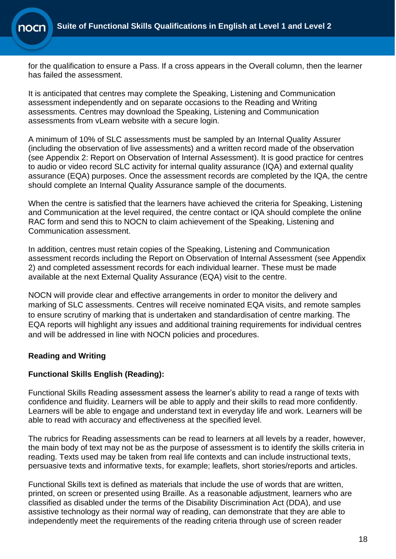for the qualification to ensure a Pass. If a cross appears in the Overall column, then the learner has failed the assessment.

It is anticipated that centres may complete the Speaking, Listening and Communication assessment independently and on separate occasions to the Reading and Writing assessments. Centres may download the Speaking, Listening and Communication assessments from vLearn website with a secure login.

A minimum of 10% of SLC assessments must be sampled by an Internal Quality Assurer (including the observation of live assessments) and a written record made of the observation (see Appendix 2: Report on Observation of Internal Assessment). It is good practice for centres to audio or video record SLC activity for internal quality assurance (IQA) and external quality assurance (EQA) purposes. Once the assessment records are completed by the IQA, the centre should complete an Internal Quality Assurance sample of the documents.

When the centre is satisfied that the learners have achieved the criteria for Speaking, Listening and Communication at the level required, the centre contact or IQA should complete the online RAC form and send this to NOCN to claim achievement of the Speaking, Listening and Communication assessment.

In addition, centres must retain copies of the Speaking, Listening and Communication assessment records including the Report on Observation of Internal Assessment (see Appendix 2) and completed assessment records for each individual learner. These must be made available at the next External Quality Assurance (EQA) visit to the centre.

NOCN will provide clear and effective arrangements in order to monitor the delivery and marking of SLC assessments. Centres will receive nominated EQA visits, and remote samples to ensure scrutiny of marking that is undertaken and standardisation of centre marking. The EQA reports will highlight any issues and additional training requirements for individual centres and will be addressed in line with NOCN policies and procedures.

### **Reading and Writing**

### **Functional Skills English (Reading):**

Functional Skills Reading assessment assess the learner's ability to read a range of texts with confidence and fluidity. Learners will be able to apply and their skills to read more confidently. Learners will be able to engage and understand text in everyday life and work. Learners will be able to read with accuracy and effectiveness at the specified level.

The rubrics for Reading assessments can be read to learners at all levels by a reader, however, the main body of text may not be as the purpose of assessment is to identify the skills criteria in reading. Texts used may be taken from real life contexts and can include instructional texts, persuasive texts and informative texts, for example; leaflets, short stories/reports and articles.

Functional Skills text is defined as materials that include the use of words that are written, printed, on screen or presented using Braille. As a reasonable adjustment, learners who are classified as disabled under the terms of the Disability Discrimination Act (DDA), and use assistive technology as their normal way of reading, can demonstrate that they are able to independently meet the requirements of the reading criteria through use of screen reader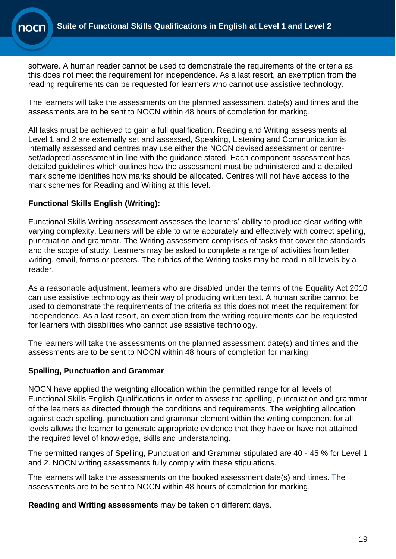software. A human reader cannot be used to demonstrate the requirements of the criteria as this does not meet the requirement for independence. As a last resort, an exemption from the reading requirements can be requested for learners who cannot use assistive technology.

The learners will take the assessments on the planned assessment date(s) and times and the assessments are to be sent to NOCN within 48 hours of completion for marking.

All tasks must be achieved to gain a full qualification. Reading and Writing assessments at Level 1 and 2 are externally set and assessed, Speaking, Listening and Communication is internally assessed and centres may use either the NOCN devised assessment or centreset/adapted assessment in line with the guidance stated. Each component assessment has detailed guidelines which outlines how the assessment must be administered and a detailed mark scheme identifies how marks should be allocated. Centres will not have access to the mark schemes for Reading and Writing at this level.

### **Functional Skills English (Writing):**

Functional Skills Writing assessment assesses the learners' ability to produce clear writing with varying complexity. Learners will be able to write accurately and effectively with correct spelling, punctuation and grammar. The Writing assessment comprises of tasks that cover the standards and the scope of study. Learners may be asked to complete a range of activities from letter writing, email, forms or posters. The rubrics of the Writing tasks may be read in all levels by a reader.

As a reasonable adjustment, learners who are disabled under the terms of the Equality Act 2010 can use assistive technology as their way of producing written text. A human scribe cannot be used to demonstrate the requirements of the criteria as this does not meet the requirement for independence. As a last resort, an exemption from the writing requirements can be requested for learners with disabilities who cannot use assistive technology.

The learners will take the assessments on the planned assessment date(s) and times and the assessments are to be sent to NOCN within 48 hours of completion for marking.

### **Spelling, Punctuation and Grammar**

NOCN have applied the weighting allocation within the permitted range for all levels of Functional Skills English Qualifications in order to assess the spelling, punctuation and grammar of the learners as directed through the conditions and requirements. The weighting allocation against each spelling, punctuation and grammar element within the writing component for all levels allows the learner to generate appropriate evidence that they have or have not attained the required level of knowledge, skills and understanding.

The permitted ranges of Spelling, Punctuation and Grammar stipulated are 40 - 45 % for Level 1 and 2. NOCN writing assessments fully comply with these stipulations.

The learners will take the assessments on the booked assessment date(s) and times. The assessments are to be sent to NOCN within 48 hours of completion for marking.

**Reading and Writing assessments** may be taken on different days.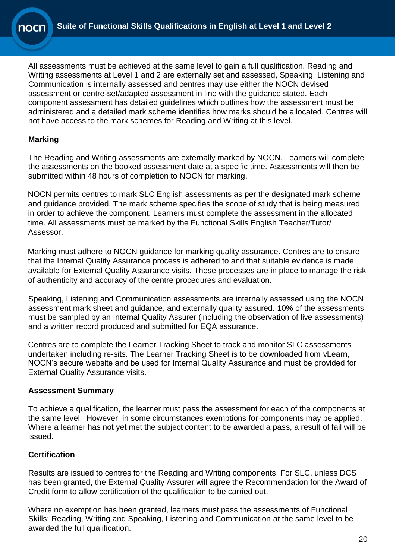All assessments must be achieved at the same level to gain a full qualification. Reading and Writing assessments at Level 1 and 2 are externally set and assessed, Speaking, Listening and Communication is internally assessed and centres may use either the NOCN devised assessment or centre-set/adapted assessment in line with the guidance stated. Each component assessment has detailed guidelines which outlines how the assessment must be administered and a detailed mark scheme identifies how marks should be allocated. Centres will not have access to the mark schemes for Reading and Writing at this level.

### **Marking**

The Reading and Writing assessments are externally marked by NOCN. Learners will complete the assessments on the booked assessment date at a specific time. Assessments will then be submitted within 48 hours of completion to NOCN for marking.

NOCN permits centres to mark SLC English assessments as per the designated mark scheme and guidance provided. The mark scheme specifies the scope of study that is being measured in order to achieve the component. Learners must complete the assessment in the allocated time. All assessments must be marked by the Functional Skills English Teacher/Tutor/ Assessor.

Marking must adhere to NOCN guidance for marking quality assurance. Centres are to ensure that the Internal Quality Assurance process is adhered to and that suitable evidence is made available for External Quality Assurance visits. These processes are in place to manage the risk of authenticity and accuracy of the centre procedures and evaluation.

Speaking, Listening and Communication assessments are internally assessed using the NOCN assessment mark sheet and guidance, and externally quality assured. 10% of the assessments must be sampled by an Internal Quality Assurer (including the observation of live assessments) and a written record produced and submitted for EQA assurance.

Centres are to complete the Learner Tracking Sheet to track and monitor SLC assessments undertaken including re-sits. The Learner Tracking Sheet is to be downloaded from vLearn, NOCN's secure website and be used for Internal Quality Assurance and must be provided for External Quality Assurance visits.

### **Assessment Summary**

To achieve a qualification, the learner must pass the assessment for each of the components at the same level. However, in some circumstances exemptions for components may be applied. Where a learner has not yet met the subject content to be awarded a pass, a result of fail will be issued.

### **Certification**

Results are issued to centres for the Reading and Writing components. For SLC, unless DCS has been granted, the External Quality Assurer will agree the Recommendation for the Award of Credit form to allow certification of the qualification to be carried out.

Where no exemption has been granted, learners must pass the assessments of Functional Skills: Reading, Writing and Speaking, Listening and Communication at the same level to be awarded the full qualification.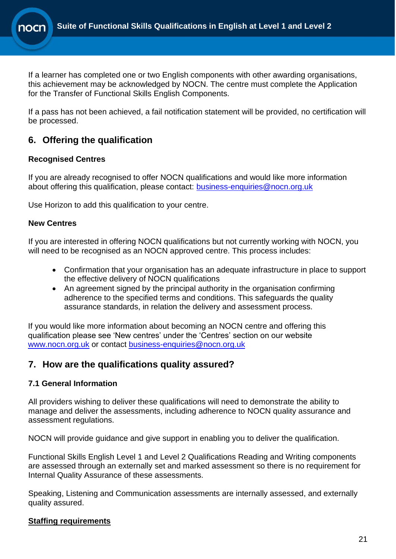

If a learner has completed one or two English components with other awarding organisations, this achievement may be acknowledged by NOCN. The centre must complete the Application for the Transfer of Functional Skills English Components.

If a pass has not been achieved, a fail notification statement will be provided, no certification will be processed.

### <span id="page-20-0"></span>**6. Offering the qualification**

### **Recognised Centres**

If you are already recognised to offer NOCN qualifications and would like more information about offering this qualification, please contact: [business-enquiries@nocn.org.uk](mailto:business-enquiries@nocn.org.uk)

Use Horizon to add this qualification to your centre.

### **New Centres**

If you are interested in offering NOCN qualifications but not currently working with NOCN, you will need to be recognised as an NOCN approved centre. This process includes:

- Confirmation that your organisation has an adequate infrastructure in place to support the effective delivery of NOCN qualifications
- An agreement signed by the principal authority in the organisation confirming adherence to the specified terms and conditions. This safeguards the quality assurance standards, in relation the delivery and assessment process.

If you would like more information about becoming an NOCN centre and offering this qualification please see 'New centres' under the 'Centres' section on our website [www.nocn.org.uk](http://www.nocn.org.uk/) or contact [business-enquiries@nocn.org.uk](mailto:business-enquiries@nocn.org.uk)

### <span id="page-20-1"></span>**7. How are the qualifications quality assured?**

### **7.1 General Information**

All providers wishing to deliver these qualifications will need to demonstrate the ability to manage and deliver the assessments, including adherence to NOCN quality assurance and assessment regulations.

NOCN will provide guidance and give support in enabling you to deliver the qualification.

Functional Skills English Level 1 and Level 2 Qualifications Reading and Writing components are assessed through an externally set and marked assessment so there is no requirement for Internal Quality Assurance of these assessments.

Speaking, Listening and Communication assessments are internally assessed, and externally quality assured.

### **Staffing requirements**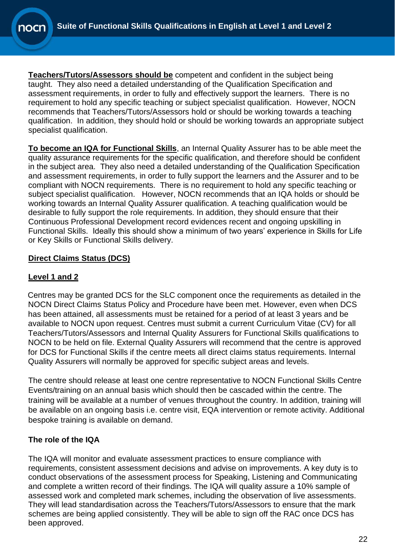**Teachers/Tutors/Assessors should be** competent and confident in the subject being taught. They also need a detailed understanding of the Qualification Specification and assessment requirements, in order to fully and effectively support the learners. There is no requirement to hold any specific teaching or subject specialist qualification. However, NOCN recommends that Teachers/Tutors/Assessors hold or should be working towards a teaching qualification. In addition, they should hold or should be working towards an appropriate subject specialist qualification.

**To become an IQA for Functional Skills**, an Internal Quality Assurer has to be able meet the quality assurance requirements for the specific qualification, and therefore should be confident in the subject area. They also need a detailed understanding of the Qualification Specification and assessment requirements, in order to fully support the learners and the Assurer and to be compliant with NOCN requirements. There is no requirement to hold any specific teaching or subject specialist qualification. However, NOCN recommends that an IQA holds or should be working towards an Internal Quality Assurer qualification. A teaching qualification would be desirable to fully support the role requirements. In addition, they should ensure that their Continuous Professional Development record evidences recent and ongoing upskilling in Functional Skills. Ideally this should show a minimum of two years' experience in Skills for Life or Key Skills or Functional Skills delivery.

### **Direct Claims Status (DCS)**

### **Level 1 and 2**

Centres may be granted DCS for the SLC component once the requirements as detailed in the NOCN Direct Claims Status Policy and Procedure have been met. However, even when DCS has been attained, all assessments must be retained for a period of at least 3 years and be available to NOCN upon request. Centres must submit a current Curriculum Vitae (CV) for all Teachers/Tutors/Assessors and Internal Quality Assurers for Functional Skills qualifications to NOCN to be held on file. External Quality Assurers will recommend that the centre is approved for DCS for Functional Skills if the centre meets all direct claims status requirements. Internal Quality Assurers will normally be approved for specific subject areas and levels.

The centre should release at least one centre representative to NOCN Functional Skills Centre Events/training on an annual basis which should then be cascaded within the centre. The training will be available at a number of venues throughout the country. In addition, training will be available on an ongoing basis i.e. centre visit, EQA intervention or remote activity. Additional bespoke training is available on demand.

### **The role of the IQA**

The IQA will monitor and evaluate assessment practices to ensure compliance with requirements, consistent assessment decisions and advise on improvements. A key duty is to conduct observations of the assessment process for Speaking, Listening and Communicating and complete a written record of their findings. The IQA will quality assure a 10% sample of assessed work and completed mark schemes, including the observation of live assessments. They will lead standardisation across the Teachers/Tutors/Assessors to ensure that the mark schemes are being applied consistently. They will be able to sign off the RAC once DCS has been approved.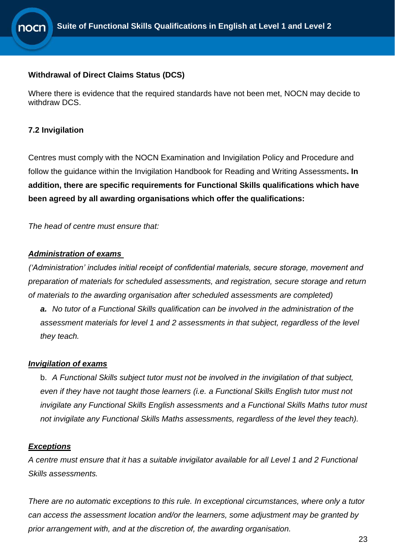#### **Withdrawal of Direct Claims Status (DCS)**

Where there is evidence that the required standards have not been met, NOCN may decide to withdraw DCS.

#### **7.2 Invigilation**

Centres must comply with the NOCN Examination and Invigilation Policy and Procedure and follow the guidance within the Invigilation Handbook for Reading and Writing Assessments**. In addition, there are specific requirements for Functional Skills qualifications which have been agreed by all awarding organisations which offer the qualifications:** 

*The head of centre must ensure that:*

#### *Administration of exams*

*('Administration' includes initial receipt of confidential materials, secure storage, movement and preparation of materials for scheduled assessments, and registration, secure storage and return of materials to the awarding organisation after scheduled assessments are completed)*

*a. No tutor of a Functional Skills qualification can be involved in the administration of the assessment materials for level 1 and 2 assessments in that subject, regardless of the level they teach.*

#### *Invigilation of exams*

b. *A Functional Skills subject tutor must not be involved in the invigilation of that subject, even if they have not taught those learners (i.e. a Functional Skills English tutor must not invigilate any Functional Skills English assessments and a Functional Skills Maths tutor must not invigilate any Functional Skills Maths assessments, regardless of the level they teach).*

#### *Exceptions*

*A centre must ensure that it has a suitable invigilator available for all Level 1 and 2 Functional Skills assessments.*

*There are no automatic exceptions to this rule. In exceptional circumstances, where only a tutor can access the assessment location and/or the learners, some adjustment may be granted by prior arrangement with, and at the discretion of, the awarding organisation.*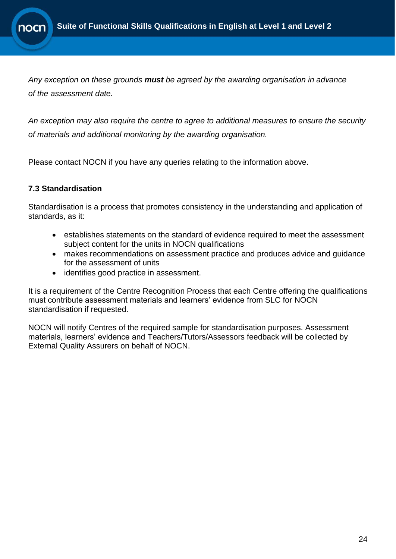

*Any exception on these grounds must be agreed by the awarding organisation in advance of the assessment date.*

*An exception may also require the centre to agree to additional measures to ensure the security of materials and additional monitoring by the awarding organisation.*

Please contact NOCN if you have any queries relating to the information above.

### **7.3 Standardisation**

Standardisation is a process that promotes consistency in the understanding and application of standards, as it:

- establishes statements on the standard of evidence required to meet the assessment subject content for the units in NOCN qualifications
- makes recommendations on assessment practice and produces advice and guidance for the assessment of units
- identifies good practice in assessment.

It is a requirement of the Centre Recognition Process that each Centre offering the qualifications must contribute assessment materials and learners' evidence from SLC for NOCN standardisation if requested.

NOCN will notify Centres of the required sample for standardisation purposes. Assessment materials, learners' evidence and Teachers/Tutors/Assessors feedback will be collected by External Quality Assurers on behalf of NOCN.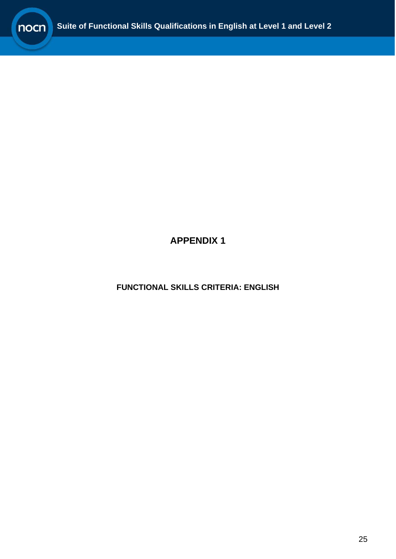

**APPENDIX 1**

<span id="page-24-0"></span>**FUNCTIONAL SKILLS CRITERIA: ENGLISH**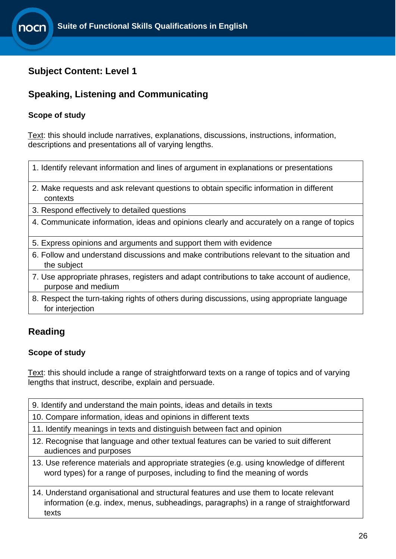### <span id="page-25-0"></span>**Subject Content: Level 1**

# **Speaking, Listening and Communicating**

### **Scope of study**

Text: this should include narratives, explanations, discussions, instructions, information, descriptions and presentations all of varying lengths.

| 1. Identify relevant information and lines of argument in explanations or presentations             |  |
|-----------------------------------------------------------------------------------------------------|--|
| 2. Make requests and ask relevant questions to obtain specific information in different<br>contexts |  |
| 3. Respond effectively to detailed questions                                                        |  |

- 4. Communicate information, ideas and opinions clearly and accurately on a range of topics
- 5. Express opinions and arguments and support them with evidence
- 6. Follow and understand discussions and make contributions relevant to the situation and the subject
- 7. Use appropriate phrases, registers and adapt contributions to take account of audience, purpose and medium
- 8. Respect the turn-taking rights of others during discussions, using appropriate language for interjection

## **Reading**

### **Scope of study**

Text: this should include a range of straightforward texts on a range of topics and of varying lengths that instruct, describe, explain and persuade.

- 9. Identify and understand the main points, ideas and details in texts
- 10. Compare information, ideas and opinions in different texts
- 11. Identify meanings in texts and distinguish between fact and opinion
- 12. Recognise that language and other textual features can be varied to suit different audiences and purposes
- 13. Use reference materials and appropriate strategies (e.g. using knowledge of different word types) for a range of purposes, including to find the meaning of words

14. Understand organisational and structural features and use them to locate relevant information (e.g. index, menus, subheadings, paragraphs) in a range of straightforward texts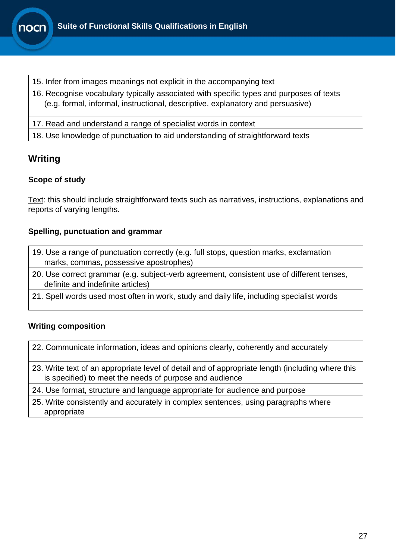

- 15. Infer from images meanings not explicit in the accompanying text
- 16. Recognise vocabulary typically associated with specific types and purposes of texts (e.g. formal, informal, instructional, descriptive, explanatory and persuasive)
- 17. Read and understand a range of specialist words in context
- 18. Use knowledge of punctuation to aid understanding of straightforward texts

# **Writing**

### **Scope of study**

Text: this should include straightforward texts such as narratives, instructions, explanations and reports of varying lengths.

### **Spelling, punctuation and grammar**

- 19. Use a range of punctuation correctly (e.g. full stops, question marks, exclamation marks, commas, possessive apostrophes)
- 20. Use correct grammar (e.g. subject-verb agreement, consistent use of different tenses, definite and indefinite articles)
- 21. Spell words used most often in work, study and daily life, including specialist words

### **Writing composition**

- 22. Communicate information, ideas and opinions clearly, coherently and accurately
- 23. Write text of an appropriate level of detail and of appropriate length (including where this is specified) to meet the needs of purpose and audience
- 24. Use format, structure and language appropriate for audience and purpose
- 25. Write consistently and accurately in complex sentences, using paragraphs where appropriate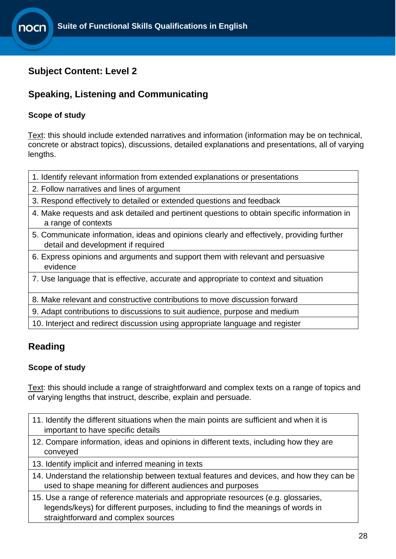### <span id="page-27-0"></span>**Subject Content: Level 2**

## **Speaking, Listening and Communicating**

### **Scope of study**

Text: this should include extended narratives and information (information may be on technical, concrete or abstract topics), discussions, detailed explanations and presentations, all of varying lengths.

- 1. Identify relevant information from extended explanations or presentations
- 2. Follow narratives and lines of argument
- 3. Respond effectively to detailed or extended questions and feedback
- 4. Make requests and ask detailed and pertinent questions to obtain specific information in a range of contexts
- 5. Communicate information, ideas and opinions clearly and effectively, providing further detail and development if required
- 6. Express opinions and arguments and support them with relevant and persuasive evidence
- 7. Use language that is effective, accurate and appropriate to context and situation
- 8. Make relevant and constructive contributions to move discussion forward
- 9. Adapt contributions to discussions to suit audience, purpose and medium

10. Interject and redirect discussion using appropriate language and register

### **Reading**

### **Scope of study**

Text: this should include a range of straightforward and complex texts on a range of topics and of varying lengths that instruct, describe, explain and persuade.

- 11. Identify the different situations when the main points are sufficient and when it is important to have specific details
- 12. Compare information, ideas and opinions in different texts, including how they are conveyed
- 13. Identify implicit and inferred meaning in texts
- 14. Understand the relationship between textual features and devices, and how they can be used to shape meaning for different audiences and purposes
- 15. Use a range of reference materials and appropriate resources (e.g. glossaries, legends/keys) for different purposes, including to find the meanings of words in straightforward and complex sources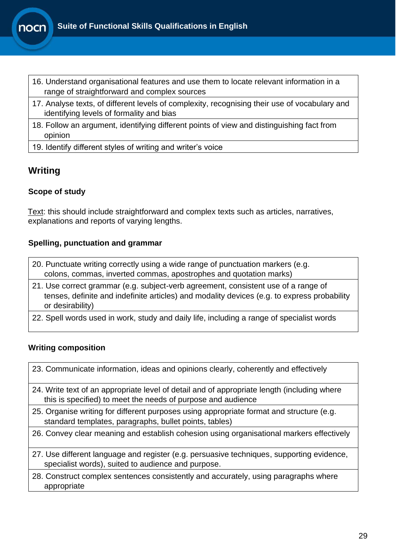

- 16. Understand organisational features and use them to locate relevant information in a range of straightforward and complex sources
- 17. Analyse texts, of different levels of complexity, recognising their use of vocabulary and identifying levels of formality and bias
- 18. Follow an argument, identifying different points of view and distinguishing fact from opinion
- 19. Identify different styles of writing and writer's voice

### **Writing**

### **Scope of study**

Text: this should include straightforward and complex texts such as articles, narratives, explanations and reports of varying lengths.

### **Spelling, punctuation and grammar**

| 20. Punctuate writing correctly using a wide range of punctuation markers (e.g. |  |
|---------------------------------------------------------------------------------|--|
| colons, commas, inverted commas, apostrophes and quotation marks)               |  |

- 21. Use correct grammar (e.g. subject-verb agreement, consistent use of a range of tenses, definite and indefinite articles) and modality devices (e.g. to express probability or desirability)
- 22. Spell words used in work, study and daily life, including a range of specialist words

### **Writing composition**

|  |  |  |  | 23. Communicate information, ideas and opinions clearly, coherently and effectively |  |
|--|--|--|--|-------------------------------------------------------------------------------------|--|
|  |  |  |  |                                                                                     |  |

- 24. Write text of an appropriate level of detail and of appropriate length (including where this is specified) to meet the needs of purpose and audience
- 25. Organise writing for different purposes using appropriate format and structure (e.g. standard templates, paragraphs, bullet points, tables)
- 26. Convey clear meaning and establish cohesion using organisational markers effectively
- 27. Use different language and register (e.g. persuasive techniques, supporting evidence, specialist words), suited to audience and purpose.
- <span id="page-28-0"></span>28. Construct complex sentences consistently and accurately, using paragraphs where appropriate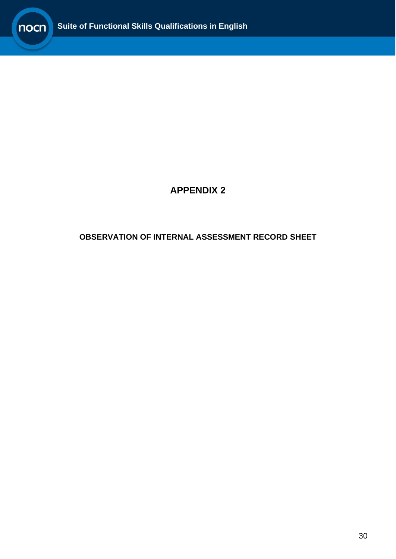

# **APPENDIX 2**

### **OBSERVATION OF INTERNAL ASSESSMENT RECORD SHEET**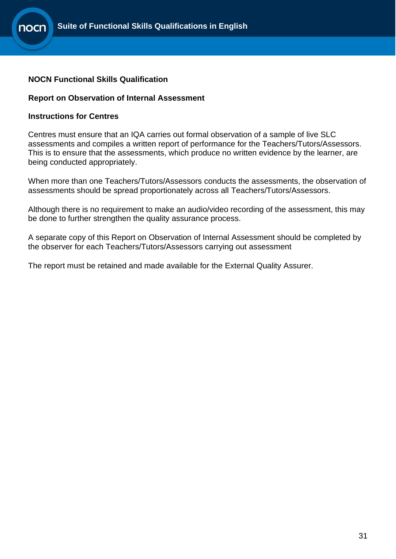### **NOCN Functional Skills Qualification**

#### <span id="page-30-0"></span>**Report on Observation of Internal Assessment**

#### **Instructions for Centres**

Centres must ensure that an IQA carries out formal observation of a sample of live SLC assessments and compiles a written report of performance for the Teachers/Tutors/Assessors. This is to ensure that the assessments, which produce no written evidence by the learner, are being conducted appropriately.

When more than one Teachers/Tutors/Assessors conducts the assessments, the observation of assessments should be spread proportionately across all Teachers/Tutors/Assessors.

Although there is no requirement to make an audio/video recording of the assessment, this may be done to further strengthen the quality assurance process.

A separate copy of this Report on Observation of Internal Assessment should be completed by the observer for each Teachers/Tutors/Assessors carrying out assessment

The report must be retained and made available for the External Quality Assurer.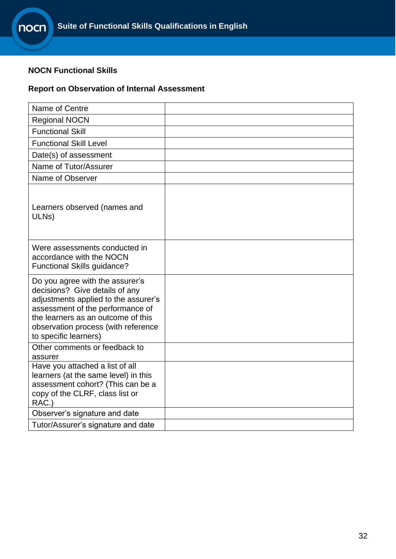### **NOCN Functional Skills**

### **Report on Observation of Internal Assessment**

| Name of Centre                                                                                                                                                                                                                                      |  |
|-----------------------------------------------------------------------------------------------------------------------------------------------------------------------------------------------------------------------------------------------------|--|
| <b>Regional NOCN</b>                                                                                                                                                                                                                                |  |
| <b>Functional Skill</b>                                                                                                                                                                                                                             |  |
| <b>Functional Skill Level</b>                                                                                                                                                                                                                       |  |
| Date(s) of assessment                                                                                                                                                                                                                               |  |
| Name of Tutor/Assurer                                                                                                                                                                                                                               |  |
| Name of Observer                                                                                                                                                                                                                                    |  |
| Learners observed (names and<br>ULN <sub>s</sub> )                                                                                                                                                                                                  |  |
| Were assessments conducted in<br>accordance with the NOCN<br>Functional Skills guidance?                                                                                                                                                            |  |
| Do you agree with the assurer's<br>decisions? Give details of any<br>adjustments applied to the assurer's<br>assessment of the performance of<br>the learners as an outcome of this<br>observation process (with reference<br>to specific learners) |  |
| Other comments or feedback to<br>assurer                                                                                                                                                                                                            |  |
| Have you attached a list of all<br>learners (at the same level) in this<br>assessment cohort? (This can be a<br>copy of the CLRF, class list or<br>RAC.)                                                                                            |  |
| Observer's signature and date                                                                                                                                                                                                                       |  |
| Tutor/Assurer's signature and date                                                                                                                                                                                                                  |  |